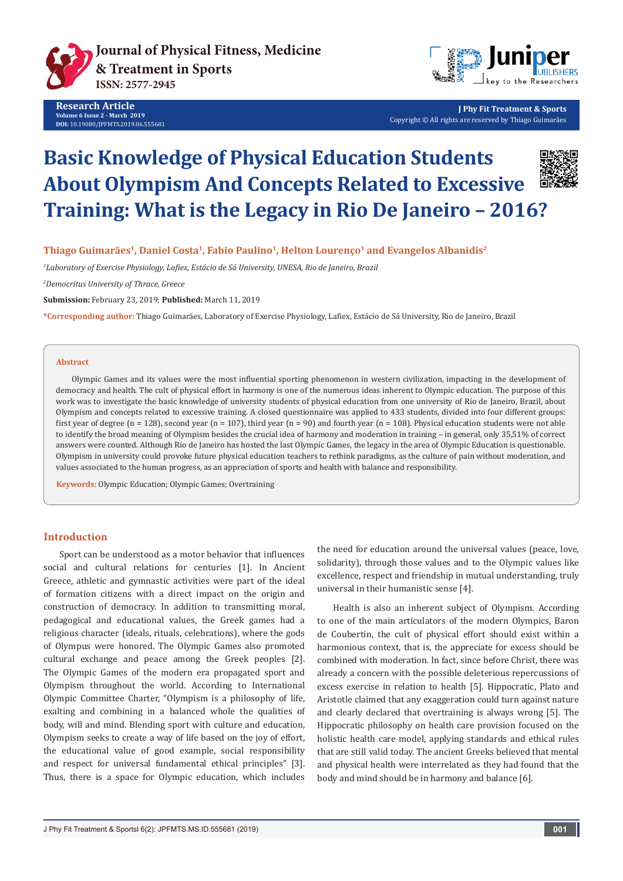

**Research Article Volume 6 Issue 2 - March 2019 DOI:** [10.19080/JPFMTS.2019.06.555681](http://dx.doi.org/10.19080/jpfmts.2019.06.555681)



**J Phy Fit Treatment & Sports** Copyright © All rights are reserved by Thiago Guimarães

# **Basic Knowledge of Physical Education Students About Olympism And Concepts Related to Excessive Training: What is the Legacy in Rio De Janeiro – 2016?**



**Thiago Guimarães1, Daniel Costa1, Fabio Paulino1, Helton Lourenço1 and Evangelos Albanidis2**

*1 Laboratory of Exercise Physiology, Lafiex, Estácio de Sá University, UNESA, Rio de Janeiro, Brazil*

*2 Democritus University of Thrace, Greece*

**Submission:** February 23, 2019; **Published:** March 11, 2019

**\*Corresponding author:** Thiago Guimarães, Laboratory of Exercise Physiology, Lafiex, Estácio de Sá University, Rio de Janeiro, Brazil

#### **Abstract**

Olympic Games and its values were the most influential sporting phenomenon in western civilization, impacting in the development of democracy and health. The cult of physical effort in harmony is one of the numerous ideas inherent to Olympic education. The purpose of this work was to investigate the basic knowledge of university students of physical education from one university of Rio de Janeiro, Brazil, about Olympism and concepts related to excessive training. A closed questionnaire was applied to 433 students, divided into four different groups: first year of degree (n = 128), second year (n = 107), third year (n = 90) and fourth year (n = 108). Physical education students were not able to identify the broad meaning of Olympism besides the crucial idea of harmony and moderation in training – in general, only 35,51% of correct answers were counted. Although Rio de Janeiro has hosted the last Olympic Games, the legacy in the area of Olympic Education is questionable. Olympism in university could provoke future physical education teachers to rethink paradigms, as the culture of pain without moderation, and values associated to the human progress, as an appreciation of sports and health with balance and responsibility.

**Keywords:** Olympic Education; Olympic Games; Overtraining

#### **Introduction**

Sport can be understood as a motor behavior that influences social and cultural relations for centuries [1]. In Ancient Greece, athletic and gymnastic activities were part of the ideal of formation citizens with a direct impact on the origin and construction of democracy. In addition to transmitting moral, pedagogical and educational values, the Greek games had a religious character (ideals, rituals, celebrations), where the gods of Olympus were honored. The Olympic Games also promoted cultural exchange and peace among the Greek peoples [2]. The Olympic Games of the modern era propagated sport and Olympism throughout the world. According to International Olympic Committee Charter, "Olympism is a philosophy of life, exalting and combining in a balanced whole the qualities of body, will and mind. Blending sport with culture and education, Olympism seeks to create a way of life based on the joy of effort, the educational value of good example, social responsibility and respect for universal fundamental ethical principles" [3]. Thus, there is a space for Olympic education, which includes

the need for education around the universal values (peace, love, solidarity), through those values and to the Olympic values like excellence, respect and friendship in mutual understanding, truly universal in their humanistic sense [4].

Health is also an inherent subject of Olympism. According to one of the main articulators of the modern Olympics, Baron de Coubertin, the cult of physical effort should exist within a harmonious context, that is, the appreciate for excess should be combined with moderation. In fact, since before Christ, there was already a concern with the possible deleterious repercussions of excess exercise in relation to health [5]. Hippocratic, Plato and Aristotle claimed that any exaggeration could turn against nature and clearly declared that overtraining is always wrong [5]. The Hippocratic philosophy on health care provision focused on the holistic health care model, applying standards and ethical rules that are still valid today. The ancient Greeks believed that mental and physical health were interrelated as they had found that the body and mind should be in harmony and balance [6].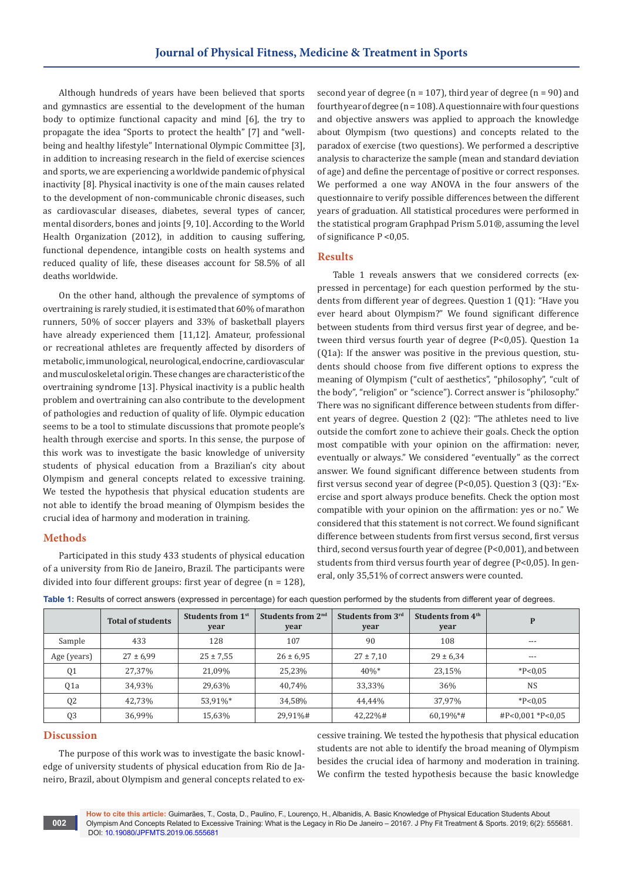Although hundreds of years have been believed that sports and gymnastics are essential to the development of the human body to optimize functional capacity and mind [6], the try to propagate the idea "Sports to protect the health" [7] and "wellbeing and healthy lifestyle" International Olympic Committee [3], in addition to increasing research in the field of exercise sciences and sports, we are experiencing a worldwide pandemic of physical inactivity [8]. Physical inactivity is one of the main causes related to the development of non-communicable chronic diseases, such as cardiovascular diseases, diabetes, several types of cancer, mental disorders, bones and joints [9, 10]. According to the World Health Organization (2012), in addition to causing suffering, functional dependence, intangible costs on health systems and reduced quality of life, these diseases account for 58.5% of all deaths worldwide.

On the other hand, although the prevalence of symptoms of overtraining is rarely studied, it is estimated that 60% of marathon runners, 50% of soccer players and 33% of basketball players have already experienced them [11,12]. Amateur, professional or recreational athletes are frequently affected by disorders of metabolic, immunological, neurological, endocrine, cardiovascular and musculoskeletal origin. These changes are characteristic of the overtraining syndrome [13]. Physical inactivity is a public health problem and overtraining can also contribute to the development of pathologies and reduction of quality of life. Olympic education seems to be a tool to stimulate discussions that promote people's health through exercise and sports. In this sense, the purpose of this work was to investigate the basic knowledge of university students of physical education from a Brazilian's city about Olympism and general concepts related to excessive training. We tested the hypothesis that physical education students are not able to identify the broad meaning of Olympism besides the crucial idea of harmony and moderation in training.

#### **Methods**

Participated in this study 433 students of physical education of a university from Rio de Janeiro, Brazil. The participants were divided into four different groups: first year of degree (n = 128), second year of degree ( $n = 107$ ), third year of degree ( $n = 90$ ) and fourth year of degree (n = 108). A questionnaire with four questions and objective answers was applied to approach the knowledge about Olympism (two questions) and concepts related to the paradox of exercise (two questions). We performed a descriptive analysis to characterize the sample (mean and standard deviation of age) and define the percentage of positive or correct responses. We performed a one way ANOVA in the four answers of the questionnaire to verify possible differences between the different years of graduation. All statistical procedures were performed in the statistical program Graphpad Prism 5.01®, assuming the level of significance P <0,05.

#### **Results**

Table 1 reveals answers that we considered corrects (expressed in percentage) for each question performed by the students from different year of degrees. Question 1 (Q1): "Have you ever heard about Olympism?" We found significant difference between students from third versus first year of degree, and between third versus fourth year of degree (P<0,05). Question 1a (Q1a): If the answer was positive in the previous question, students should choose from five different options to express the meaning of Olympism ("cult of aesthetics", "philosophy", "cult of the body", "religion" or "science"). Correct answer is "philosophy." There was no significant difference between students from different years of degree. Question 2 (Q2): "The athletes need to live outside the comfort zone to achieve their goals. Check the option most compatible with your opinion on the affirmation: never, eventually or always." We considered "eventually" as the correct answer. We found significant difference between students from first versus second year of degree (P<0,05). Question 3 (Q3): "Exercise and sport always produce benefits. Check the option most compatible with your opinion on the affirmation: yes or no." We considered that this statement is not correct. We found significant difference between students from first versus second, first versus third, second versus fourth year of degree (P<0,001), and between students from third versus fourth year of degree (P<0,05). In general, only 35,51% of correct answers were counted.

|                | <b>Total of students</b> | Students from 1 <sup>st</sup><br>year | Students from 2 <sup>nd</sup><br>year | Students from 3rd<br>year | Students from 4 <sup>th</sup><br>year | P                          |
|----------------|--------------------------|---------------------------------------|---------------------------------------|---------------------------|---------------------------------------|----------------------------|
| Sample         | 433                      | 128                                   | 107                                   | 90                        | 108                                   | $---$                      |
| Age (years)    | $27 \pm 6.99$            | $25 \pm 7,55$                         | $26 \pm 6.95$                         | $27 \pm 7.10$             | $29 \pm 6.34$                         | $---$                      |
| Q <sub>1</sub> | 27,37%                   | 21,09%                                | 25.23%                                | 40%*                      | 23,15%                                | $*P<0.05$                  |
| Q1a            | 34,93%                   | 29,63%                                | 40.74%                                | 33,33%                    | 36%                                   | <b>NS</b>                  |
| Q <sub>2</sub> | 42.73%                   | 53.91%*                               | 34,58%                                | 44.44%                    | 37.97%                                | $*P<0.05$                  |
| Q <sub>3</sub> | 36,99%                   | 15,63%                                | 29,91%#                               | 42,22%#                   | 60,19%*#                              | $\text{HP}$ <0,001 *P<0,05 |

**Table 1:** Results of correct answers (expressed in percentage) for each question performed by the students from different year of degrees.

### **Discussion**

**002**

The purpose of this work was to investigate the basic knowledge of university students of physical education from Rio de Janeiro, Brazil, about Olympism and general concepts related to excessive training. We tested the hypothesis that physical education students are not able to identify the broad meaning of Olympism besides the crucial idea of harmony and moderation in training. We confirm the tested hypothesis because the basic knowledge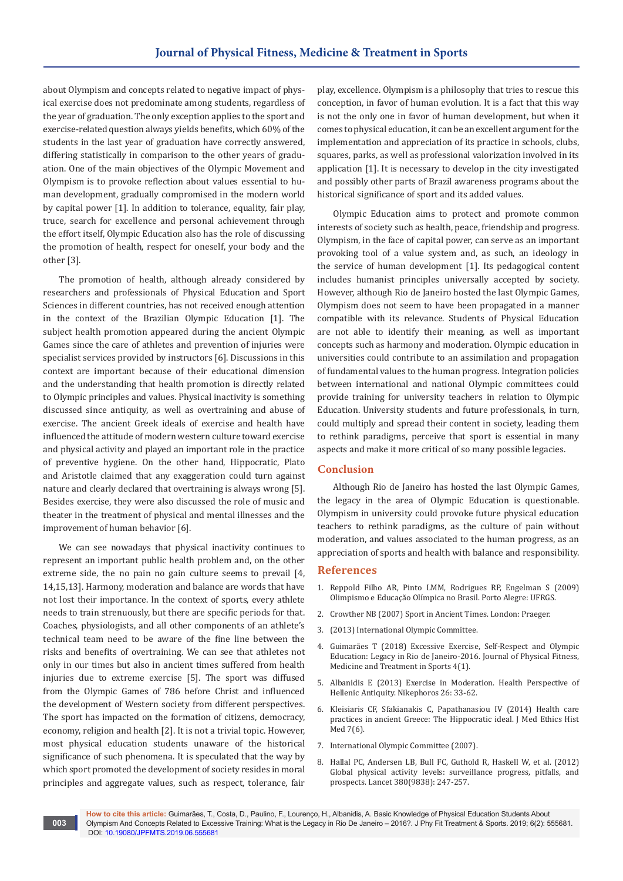about Olympism and concepts related to negative impact of physical exercise does not predominate among students, regardless of the year of graduation. The only exception applies to the sport and exercise-related question always yields benefits, which 60% of the students in the last year of graduation have correctly answered, differing statistically in comparison to the other years of graduation. One of the main objectives of the Olympic Movement and Olympism is to provoke reflection about values essential to human development, gradually compromised in the modern world by capital power [1]. In addition to tolerance, equality, fair play, truce, search for excellence and personal achievement through the effort itself, Olympic Education also has the role of discussing the promotion of health, respect for oneself, your body and the other [3].

The promotion of health, although already considered by researchers and professionals of Physical Education and Sport Sciences in different countries, has not received enough attention in the context of the Brazilian Olympic Education [1]. The subject health promotion appeared during the ancient Olympic Games since the care of athletes and prevention of injuries were specialist services provided by instructors [6]. Discussions in this context are important because of their educational dimension and the understanding that health promotion is directly related to Olympic principles and values. Physical inactivity is something discussed since antiquity, as well as overtraining and abuse of exercise. The ancient Greek ideals of exercise and health have influenced the attitude of modern western culture toward exercise and physical activity and played an important role in the practice of preventive hygiene. On the other hand, Hippocratic, Plato and Aristotle claimed that any exaggeration could turn against nature and clearly declared that overtraining is always wrong [5]. Besides exercise, they were also discussed the role of music and theater in the treatment of physical and mental illnesses and the improvement of human behavior [6].

We can see nowadays that physical inactivity continues to represent an important public health problem and, on the other extreme side, the no pain no gain culture seems to prevail [4, 14,15,13]. Harmony, moderation and balance are words that have not lost their importance. In the context of sports, every athlete needs to train strenuously, but there are specific periods for that. Coaches, physiologists, and all other components of an athlete's technical team need to be aware of the fine line between the risks and benefits of overtraining. We can see that athletes not only in our times but also in ancient times suffered from health injuries due to extreme exercise [5]. The sport was diffused from the Olympic Games of 786 before Christ and influenced the development of Western society from different perspectives. The sport has impacted on the formation of citizens, democracy, economy, religion and health [2]. It is not a trivial topic. However, most physical education students unaware of the historical significance of such phenomena. It is speculated that the way by which sport promoted the development of society resides in moral principles and aggregate values, such as respect, tolerance, fair

**003**

play, excellence. Olympism is a philosophy that tries to rescue this conception, in favor of human evolution. It is a fact that this way is not the only one in favor of human development, but when it comes to physical education, it can be an excellent argument for the implementation and appreciation of its practice in schools, clubs, squares, parks, as well as professional valorization involved in its application [1]. It is necessary to develop in the city investigated and possibly other parts of Brazil awareness programs about the historical significance of sport and its added values.

Olympic Education aims to protect and promote common interests of society such as health, peace, friendship and progress. Olympism, in the face of capital power, can serve as an important provoking tool of a value system and, as such, an ideology in the service of human development [1]. Its pedagogical content includes humanist principles universally accepted by society. However, although Rio de Janeiro hosted the last Olympic Games, Olympism does not seem to have been propagated in a manner compatible with its relevance. Students of Physical Education are not able to identify their meaning, as well as important concepts such as harmony and moderation. Olympic education in universities could contribute to an assimilation and propagation of fundamental values to the human progress. Integration policies between international and national Olympic committees could provide training for university teachers in relation to Olympic Education. University students and future professionals, in turn, could multiply and spread their content in society, leading them to rethink paradigms, perceive that sport is essential in many aspects and make it more critical of so many possible legacies.

#### **Conclusion**

Although Rio de Janeiro has hosted the last Olympic Games, the legacy in the area of Olympic Education is questionable. Olympism in university could provoke future physical education teachers to rethink paradigms, as the culture of pain without moderation, and values associated to the human progress, as an appreciation of sports and health with balance and responsibility.

#### **References**

- 1. [Reppold Filho AR, Pinto LMM, Rodrigues RP, Engelman S \(2009\)](http://www.ufrgs.br/ceo/pdf/livro/olimpismoEducacaoOlimpica.pdf)  [Olimpismo e Educação Olímpica no Brasil. Porto Alegre: UFRGS.](http://www.ufrgs.br/ceo/pdf/livro/olimpismoEducacaoOlimpica.pdf)
- 2. Crowther NB (2007) Sport in Ancient Times. London: Praeger.
- 3. (2013) International Olympic Committee.
- 4. [Guimarães T \(2018\) Excessive Exercise, Self-Respect and Olympic](https://juniperpublishers.com/jpfmts/pdf/JPFMTS.MS.ID.555627.pdf)  [Education: Legacy in Rio de Janeiro-2016. Journal of Physical Fitness,](https://juniperpublishers.com/jpfmts/pdf/JPFMTS.MS.ID.555627.pdf)  [Medicine and Treatment in Sports 4\(1\).](https://juniperpublishers.com/jpfmts/pdf/JPFMTS.MS.ID.555627.pdf)
- 5. Albanidis E (2013) Exercise in Moderation. Health Perspective of Hellenic Antiquity. Nikephoros 26: 33-62.
- 6. Kleisiaris CF, Sfakianakis C, Papathanasiou IV (2014) Health care practices in ancient Greece: The Hippocratic ideal. J Med Ethics Hist Med 7(6).
- 7. International Olympic Committee (2007).
- 8. Hallal PC, Andersen LB, Bull FC, Guthold R, Haskell W, et al. (2012) Global physical activity levels: surveillance progress, pitfalls, and prospects. Lancet 380(9838): 247-257.